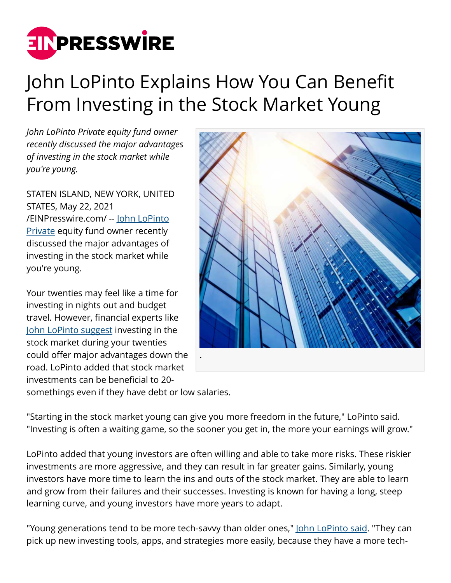

## John LoPinto Explains How You Can Benefit From Investing in the Stock Market Young

*John LoPinto Private equity fund owner recently discussed the major advantages of investing in the stock market while you're young.*

STATEN ISLAND, NEW YORK, UNITED STATES, May 22, 2021 [/EINPresswire.com/](http://www.einpresswire.com) -- [John LoPinto](https://medium.com/@johnlopinto) [Private](https://medium.com/@johnlopinto) equity fund owner recently discussed the major advantages of investing in the stock market while you're young.

Your twenties may feel like a time for investing in nights out and budget travel. However, financial experts like [John LoPinto suggest](https://muckrack.com/johnlopinto) investing in the stock market during your twenties could offer major advantages down the road. LoPinto added that stock market investments can be beneficial to 20 somethings even if they have debt or low salaries.



"Starting in the stock market young can give you more freedom in the future," LoPinto said. "Investing is often a waiting game, so the sooner you get in, the more your earnings will grow."

LoPinto added that young investors are often willing and able to take more risks. These riskier investments are more aggressive, and they can result in far greater gains. Similarly, young investors have more time to learn the ins and outs of the stock market. They are able to learn and grow from their failures and their successes. Investing is known for having a long, steep learning curve, and young investors have more years to adapt.

"Young generations tend to be more tech-savvy than older ones," [John LoPinto said.](https://www.crunchbase.com/person/john-lopinto-8206) "They can pick up new investing tools, apps, and strategies more easily, because they have a more tech